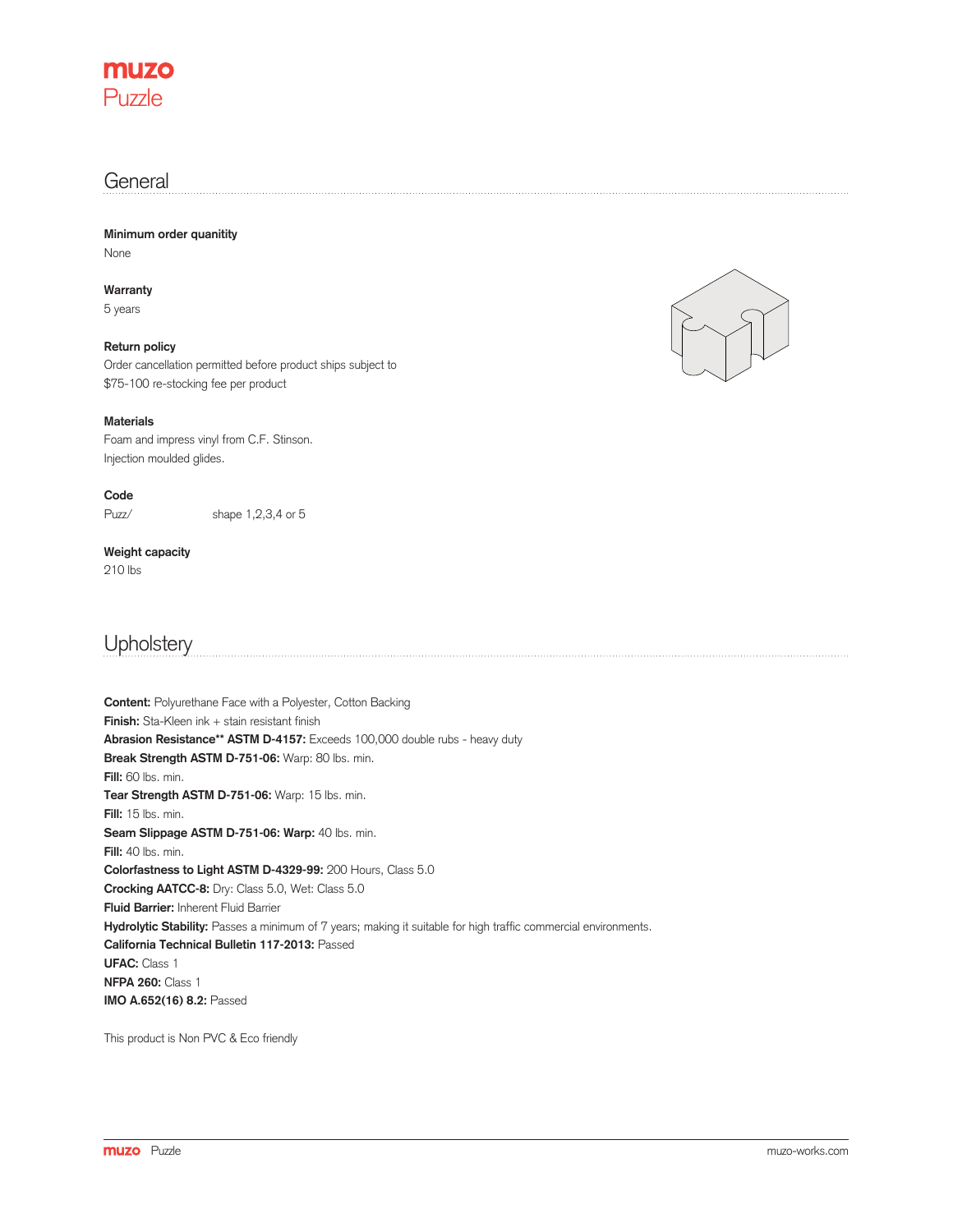

### **General**

**Minimum order quanitity** None

**Warranty** 5 years

**Return policy** Order cancellation permitted before product ships subject to \$75-100 re-stocking fee per product

### **Materials**

Foam and impress vinyl from C.F. Stinson. Injection moulded glides.

**Code**

Puzz/

shape 1,2,3,4 or 5

### **Weight capacity**

210 lbs

## **Upholstery**

**Content:** Polyurethane Face with a Polyester, Cotton Backing **Finish:** Sta-Kleen ink + stain resistant finish **Abrasion Resistance\*\* ASTM D-4157:** Exceeds 100,000 double rubs - heavy duty **Break Strength ASTM D-751-06:** Warp: 80 lbs. min. **Fill:** 60 lbs. min. **Tear Strength ASTM D-751-06:** Warp: 15 lbs. min. **Fill:** 15 lbs. min. Seam Slippage ASTM D-751-06: Warp: 40 lbs. min. **Fill:** 40 lbs. min. **Colorfastness to Light ASTM D-4329-99:** 200 Hours, Class 5.0 **Crocking AATCC-8:** Dry: Class 5.0, Wet: Class 5.0 **Fluid Barrier:** Inherent Fluid Barrier Hydrolytic Stability: Passes a minimum of 7 years; making it suitable for high traffic commercial environments. **California Technical Bulletin 117-2013:** Passed **UFAC:** Class 1 **NFPA 260:** Class 1 **IMO A.652(16) 8.2:** Passed

This product is Non PVC & Eco friendly

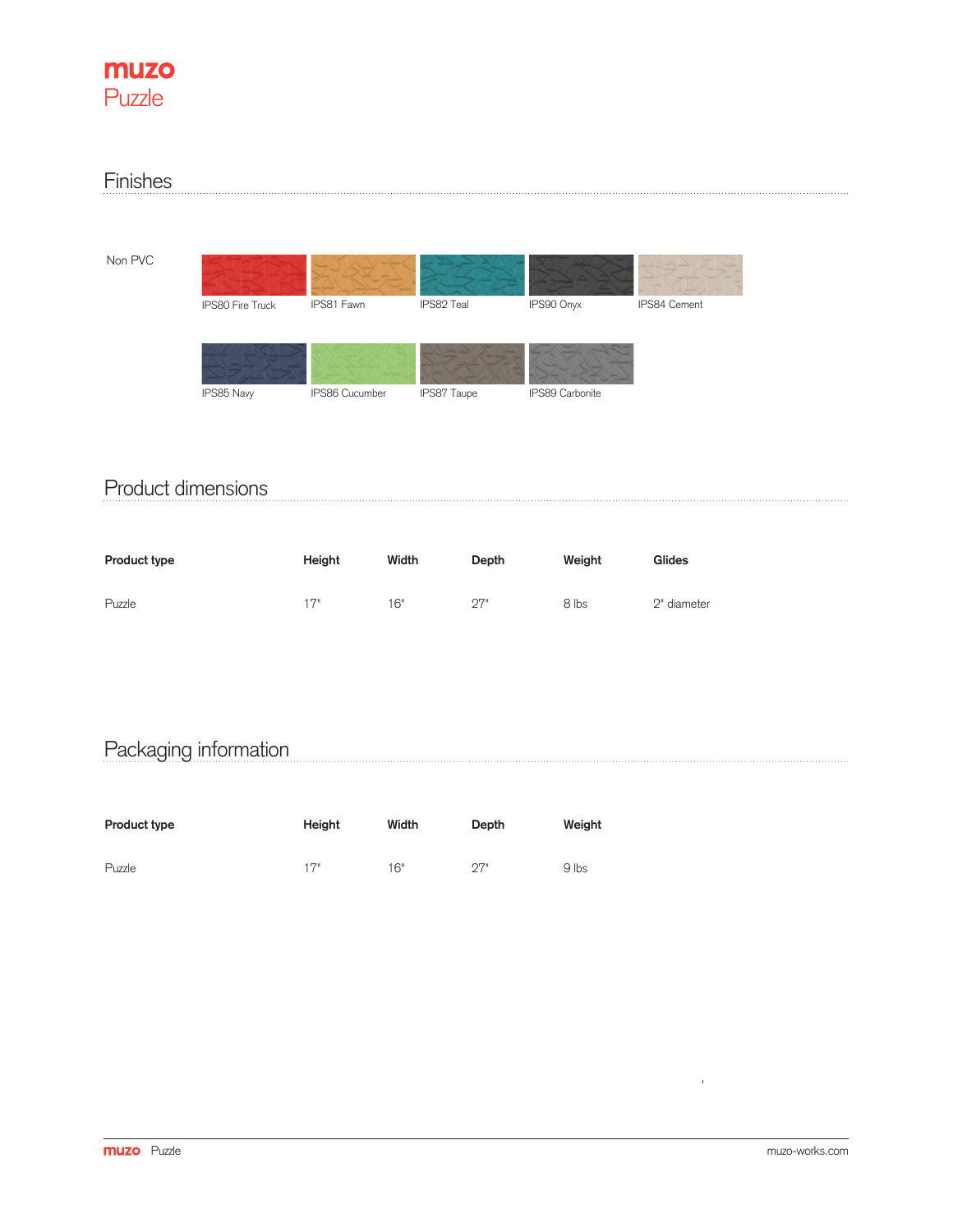

#### Finishes

Non PVC

| <b>IPS80 Fire Truck</b> | IPS81 Fawn     | IPS82 Teal  | IPS90 Onyx      | IPS84 Cement |
|-------------------------|----------------|-------------|-----------------|--------------|
|                         |                |             |                 |              |
|                         |                |             |                 |              |
| IPS85 Navy              | IPS86 Cucumber | IPS87 Taupe | IPS89 Carbonite |              |

## Product dimensions

| Product type | Height | Width | Depth | Weight | Glides      |
|--------------|--------|-------|-------|--------|-------------|
| Puzzle       | 17"    | 16"   | 27"   | 8 lbs  | 2" diameter |

# Packaging information

| Product type | Height | Width | Depth     | Weight |
|--------------|--------|-------|-----------|--------|
| Puzzle       | 17"    | 16"   | <b>ワア</b> | 9 lbs  |

 $\frac{1}{\sqrt{2}}$